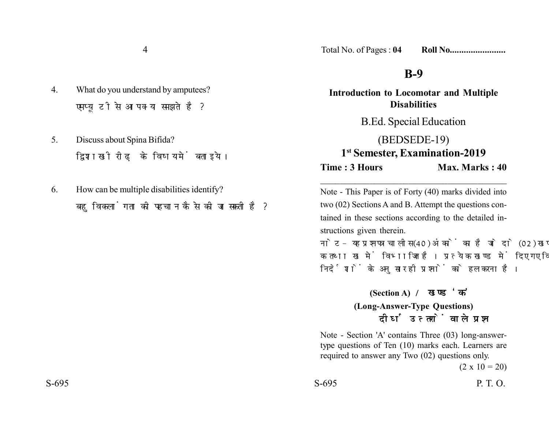- 4. What do you understand by amputees? एमप्यटी से आप क्या समझते है?
- 5. Discuss about Spina Bifida? द्विशाखी रीढ के विषय में बताइये।
- 6. How can be multiple disabilities identify? बहविकलांगता की पहचान कैसे की जा सकती है ?

Total No. of Pages : **04 Roll No........................**

## **B-9**

**Introduction to Locomotar and Multiple Disabilities** B.Ed. Special Education (BEDSEDE-19) **1st Semester, Examination-2019 Time : 3 Hours Max. Marks : 40** \_\_\_\_\_\_\_\_\_\_\_\_\_\_\_\_\_\_\_\_\_\_\_\_\_\_\_\_\_\_\_\_\_\_\_\_\_\_

Note - This Paper is of Forty (40) marks divided into two (02) Sections A and B. Attempt the questions contained in these sections according to the detailed instructions given therein.

नोट- यह प्रश्नपत्र चालीस (40) अंकों का है जो दो (02) खण्डों, क तथा ख में विभाजित है। प्रत्येक खण्ड में दिए गए विस्तृत निर्देशों के अनुसार ही प्रश्नों को हल करना है।

> **(Section A) (Long-Answer-Type Questions)** दीर्घ उत्तरों वाले प्रश्न

Note - Section 'A' contains Three (03) long-answertype questions of Ten (10) marks each. Learners are required to answer any Two (02) questions only.

 $(2 \times 10 = 20)$ 

 $S-695$  P. T. O.